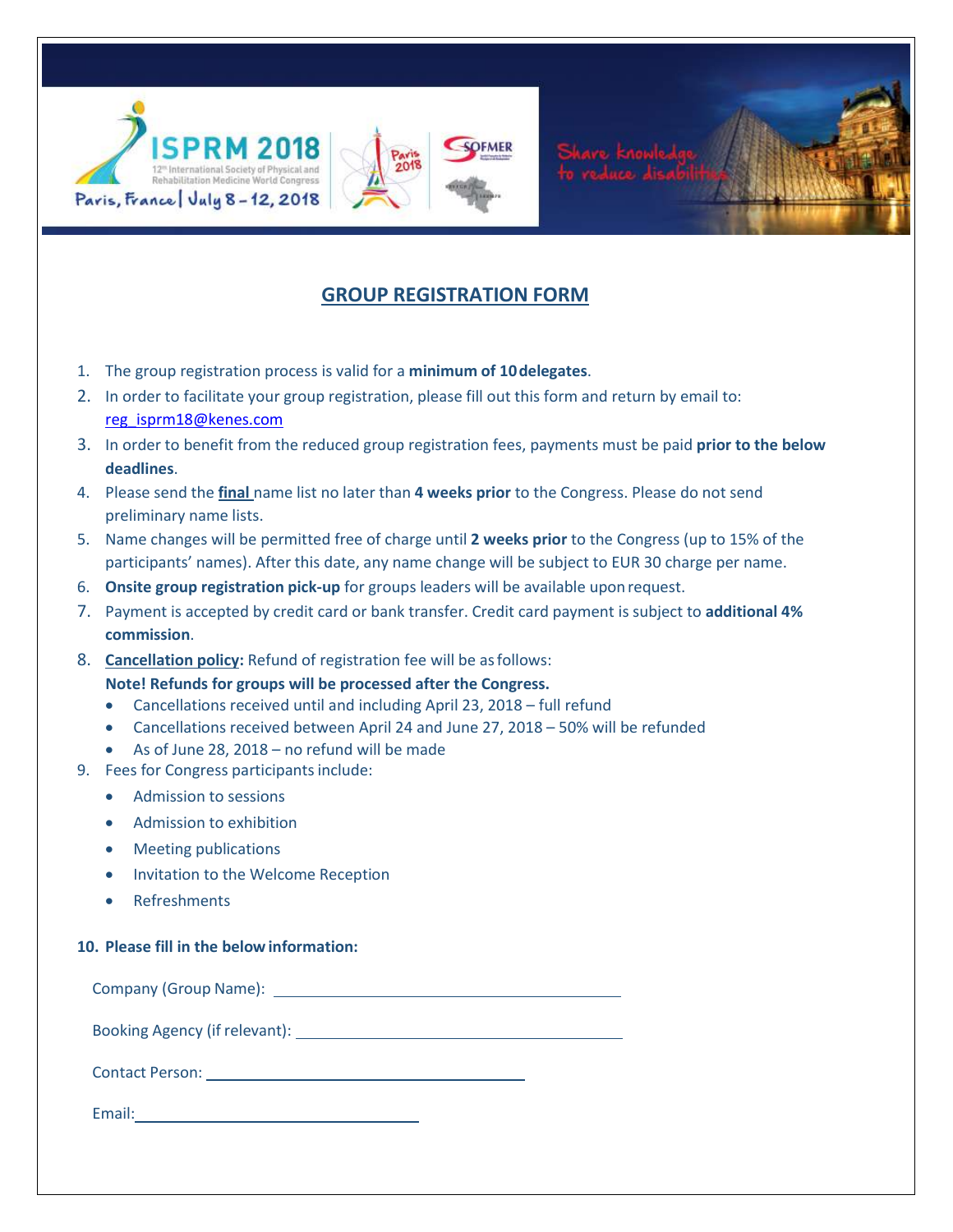



- 1. The group registration process is valid for a **minimum of 10delegates**.
- 2. In order to facilitate your group registration, please fill out this form and return by email to: reg\_isprm18@kenes.com
- 3. In order to benefit from the reduced group registration fees, payments must be paid **prior to the below deadlines**.
- 4. Please send the **final** name list no later than **4 weeks prior** to the Congress. Please do not send preliminary name lists.
- 5. Name changes will be permitted free of charge until **2 weeks prior** to the Congress (up to 15% of the participants' names). After this date, any name change will be subject to EUR 30 charge per name.
- 6. **Onsite group registration pick-up** for groups leaders will be available uponrequest.
- 7. Payment is accepted by credit card or bank transfer. Credit card payment is subject to **additional 4% commission**.
- 8. **Cancellation policy:** Refund of registration fee will be asfollows: **Note! Refunds for groups will be processed after the Congress.**
	- Cancellations received until and including April 23, 2018 full refund
	- Cancellations received between April 24 and June 27, 2018 50% will be refunded
	- As of June 28, 2018 no refund will be made
- 9. Fees for Congress participants include:
	- Admission to sessions
	- Admission to exhibition
	- Meeting publications
	- Invitation to the Welcome Reception
	- Refreshments

## **10. Please fill in the belowinformation:**

Company (Group Name):

Booking Agency (if relevant):

Contact Person:

Email: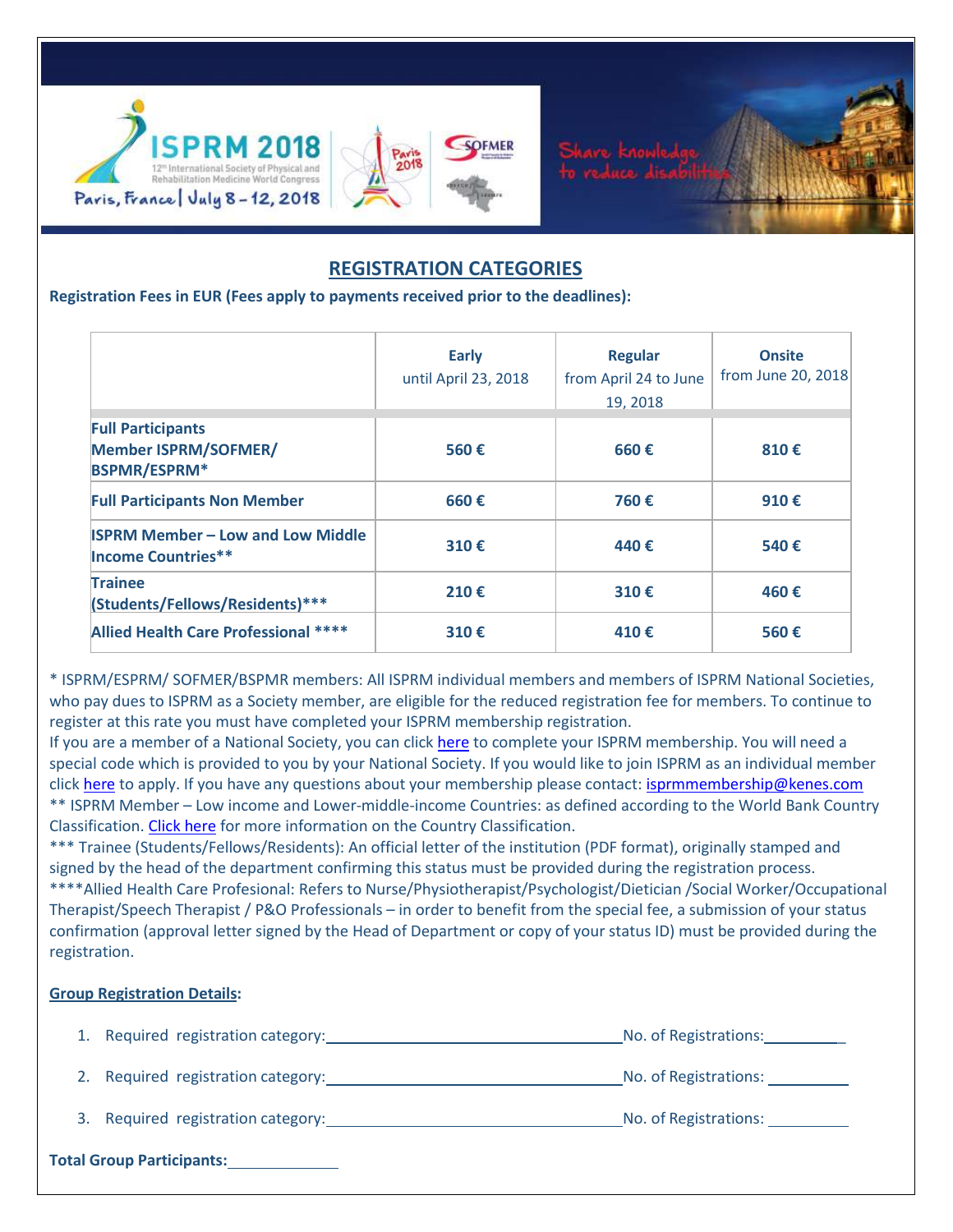

# **REGISTRATION CATEGORIES**

**Registration Fees in EUR (Fees apply to payments received prior to the deadlines):**

|                                                                                | <b>Early</b><br>until April 23, 2018 | <b>Regular</b><br>from April 24 to June<br>19.2018 | <b>Onsite</b><br>from June 20, 2018 |
|--------------------------------------------------------------------------------|--------------------------------------|----------------------------------------------------|-------------------------------------|
| <b>Full Participants</b><br><b>Member ISPRM/SOFMER/</b><br><b>BSPMR/ESPRM*</b> | 560€                                 | 660€                                               | 810€                                |
| <b>Full Participants Non Member</b>                                            | 660€                                 | 760€                                               | 910€                                |
| <b>ISPRM Member - Low and Low Middle</b><br><b>Income Countries**</b>          | 310€                                 | 440€                                               | 540€                                |
| <b>Trainee</b><br>(Students/Fellows/Residents)***                              | 210€                                 | 310€                                               | 460€                                |
| Allied Health Care Professional ****                                           | 310€                                 | 410€                                               | 560€                                |

\* ISPRM/ESPRM/ SOFMER/BSPMR members: All ISPRM individual members and members of ISPRM National Societies, who pay dues to ISPRM as a Society member, are eligible for the reduced registration fee for members. To continue to register at this rate you must have completed your ISPRM membership registration.

If you are a member of a National Society, you can click here to complete your ISPRM membership. You will need a special code which is provided to you by your National Society. If you would like to join ISPRM as an individual member click here to apply. If you have any questions about your membership please contact: isprmmembership@kenes.com \*\* ISPRM Member – Low income and Lower-middle-income Countries: as defined according to the World Bank Country Classification. Click here for more information on the Country Classification.

\*\*\* Trainee (Students/Fellows/Residents): An official letter of the institution (PDF format), originally stamped and signed by the head of the department confirming this status must be provided during the registration process. \*\*\*\*Allied Health Care Profesional: Refers to Nurse/Physiotherapist/Psychologist/Dietician /Social Worker/Occupational Therapist/Speech Therapist / P&O Professionals – in order to benefit from the special fee, a submission of your status confirmation (approval letter signed by the Head of Department or copy of your status ID) must be provided during the registration.

## **Group Registration Details:**

| 1. Required registration category: | No. of Registrations: |
|------------------------------------|-----------------------|
| 2. Required registration category: | No. of Registrations: |
| 3. Required registration category: | No. of Registrations: |
| <b>Total Group Participants:</b>   |                       |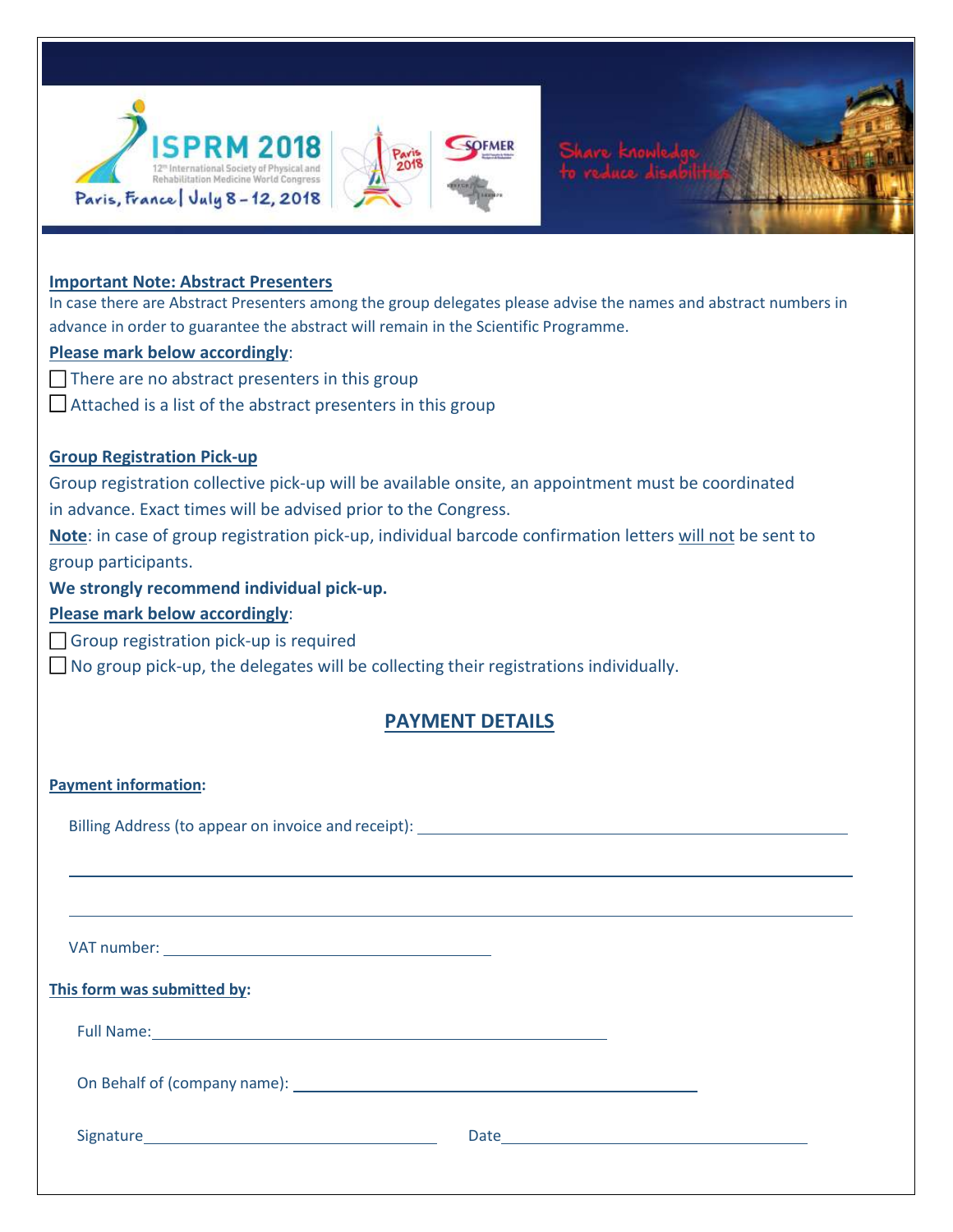



## **Important Note: Abstract Presenters**

In case there are Abstract Presenters among the group delegates please advise the names and abstract numbers in advance in order to guarantee the abstract will remain in the Scientific Programme.

## **Please mark below accordingly**:

- $\Box$  There are no abstract presenters in this group
- $\Box$  Attached is a list of the abstract presenters in this group

## **Group Registration Pick-up**

Group registration collective pick-up will be available onsite, an appointment must be coordinated in advance. Exact times will be advised prior to the Congress.

**Note**: in case of group registration pick-up, individual barcode confirmation letters will not be sent to group participants.

**We strongly recommend individual pick-up.** 

## **Please mark below accordingly**:

Group registration pick-up is required

 $\Box$  No group pick-up, the delegates will be collecting their registrations individually.

## **PAYMENT DETAILS**

## **Payment information:**

Billing Address (to appear on invoice and receipt):

VAT number:

## **This form was submitted by:**

Full Name:

On Behalf of (company name):

Signature **Date Date**